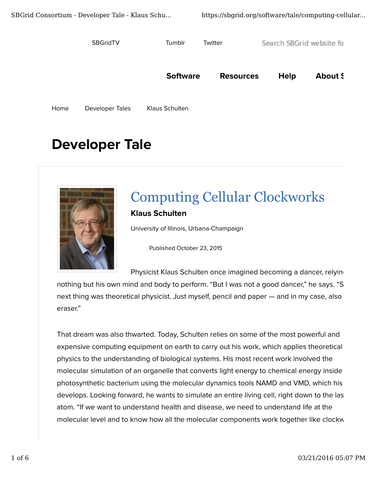**SBGridTV** 

Tumblr Twitter Search SBGrid website fo

**Software Resources** About S Help

Developer Tales Klaus Schulten Home

# **Developer Tale**



## **Computing Cellular Clockworks Klaus Schulten**

University of Illinois, Urbana-Champaign

Published October 23, 2015

Physicist Klaus Schulten once imagined becoming a dancer, relyine

nothing but his own mind and body to perform. "But I was not a good dancer," he says. "S next thing was theoretical physicist. Just myself, pencil and paper — and in my case, also eraser."

That dream was also thwarted. Today, Schulten relies on some of the most powerful and expensive computing equipment on earth to carry out his work, which applies theoretical physics to the understanding of biological systems. His most recent work involved the molecular simulation of an organelle that converts light energy to chemical energy inside photosynthetic bacterium using the molecular dynamics tools NAMD and VMD, which his develops. Looking forward, he wants to simulate an entire living cell, right down to the las atom. "If we want to understand health and disease, we need to understand life at the molecular level and to know how all the molecular components work together like clockw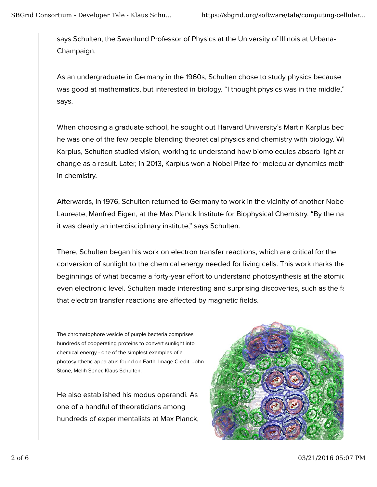says Schulten, the Swanlund Professor of Physics at the University of Illinois at Urbana-Champaign.

As an undergraduate in Germany in the 1960s, Schulten chose to study physics because was good at mathematics, but interested in biology. "I thought physics was in the middle," says.

When choosing a graduate school, he sought out Harvard University's Martin Karplus bec he was one of the few people blending theoretical physics and chemistry with biology. Wi Karplus, Schulten studied vision, working to understand how biomolecules absorb light ar change as a result. Later, in 2013, Karplus won a Nobel Prize for molecular dynamics methods in chemistry.

Afterwards, in 1976, Schulten returned to Germany to work in the vicinity of another Nobel Laureate, Manfred Eigen, at the Max Planck Institute for Biophysical Chemistry. "By the na it was clearly an interdisciplinary institute," says Schulten.

There, Schulten began his work on electron transfer reactions, which are critical for the conversion of sunlight to the chemical energy needed for living cells. This work marks the beginnings of what became a forty-year effort to understand photosynthesis at the atomic even electronic level. Schulten made interesting and surprising discoveries, such as the fact that electron transfer reactions are affected by magnetic fields.

The chromatophore vesicle of purple bacteria comprises hundreds of cooperating proteins to convert sunlight into chemical energy - one of the simplest examples of a photosynthetic apparatus found on Earth. Image Credit: John Stone, Melih Sener, Klaus Schulten.

He also established his modus operandi. As one of a handful of theoreticians among hundreds of experimentalists at Max Planck,

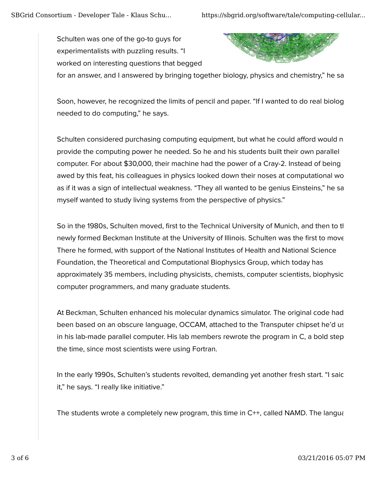Schulten was one of the go-to guys for experimentalists with puzzling results. "I worked on interesting questions that begged



for an answer, and I answered by bringing together biology, physics and chemistry," he sa

Soon, however, he recognized the limits of pencil and paper. "If I wanted to do real biolog needed to do computing," he says.

Schulten considered purchasing computing equipment, but what he could afford would n provide the computing power he needed. So he and his students built their own parallel computer. For about \$30,000, their machine had the power of a Cray-2. Instead of being awed by this feat, his colleagues in physics looked down their noses at computational wo as if it was a sign of intellectual weakness. "They all wanted to be genius Einsteins," he sa myself wanted to study living systems from the perspective of physics."

So in the 1980s, Schulten moved, first to the Technical University of Munich, and then to the newly formed Beckman Institute at the University of Illinois. Schulten was the first to move There he formed, with support of the National Institutes of Health and National Science Foundation, the Theoretical and Computational Biophysics Group, which today has approximately 35 members, including physicists, chemists, computer scientists, biophysic computer programmers, and many graduate students.

At Beckman, Schulten enhanced his molecular dynamics simulator. The original code had been based on an obscure language, OCCAM, attached to the Transputer chipset he'd us in his lab-made parallel computer. His lab members rewrote the program in C, a bold step the time, since most scientists were using Fortran.

In the early 1990s, Schulten's students revolted, demanding yet another fresh start. "I saic it," he says. "I really like initiative."

The students wrote a completely new program, this time in  $C_{++}$ , called NAMD. The language-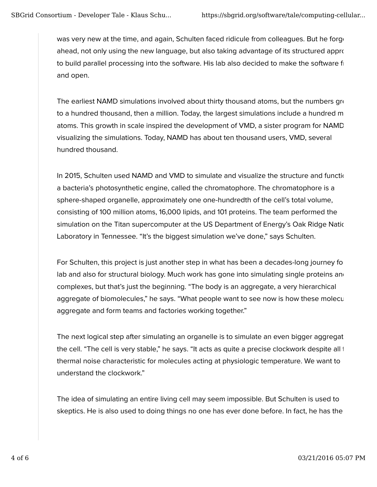was very new at the time, and again, Schulten faced ridicule from colleagues. But he forge ahead, not only using the new language, but also taking advantage of its structured approach to build parallel processing into the software. His lab also decided to make the software fi and open.

The earliest NAMD simulations involved about thirty thousand atoms, but the numbers gree to a hundred thousand, then a million. Today, the largest simulations include a hundred m atoms. This growth in scale inspired the development of VMD, a sister program for NAMD visualizing the simulations. Today, NAMD has about ten thousand users, VMD, several hundred thousand.

In 2015, Schulten used NAMD and VMD to simulate and visualize the structure and function a bacteria's photosynthetic engine, called the chromatophore. The chromatophore is a sphere-shaped organelle, approximately one one-hundredth of the cell's total volume, consisting of 100 million atoms, 16,000 lipids, and 101 proteins. The team performed the simulation on the Titan supercomputer at the US Department of Energy's Oak Ridge National Laboratory in Tennessee. "It's the biggest simulation we've done," says Schulten.

For Schulten, this project is just another step in what has been a decades-long journey for lab and also for structural biology. Much work has gone into simulating single proteins and complexes, but that's just the beginning. "The body is an aggregate, a very hierarchical aggregate of biomolecules," he says. "What people want to see now is how these molecul aggregate and form teams and factories working together."

The next logical step after simulating an organelle is to simulate an even bigger aggregat the cell. "The cell is very stable," he says. "It acts as quite a precise clockwork despite all the thermal noise characteristic for molecules acting at physiologic temperature. We want to understand the clockwork."

The idea of simulating an entire living cell may seem impossible. But Schulten is used to skeptics. He is also used to doing things no one has ever done before. In fact, he has the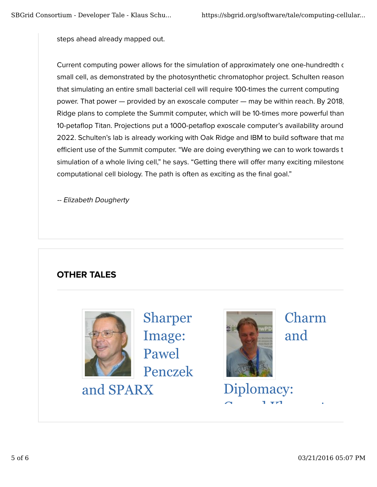steps ahead already mapped out.

Current computing power allows for the simulation of approximately one one-hundredth of small cell, as demonstrated by the photosynthetic chromatophor project. Schulten reason that simulating an entire small bacterial cell will require 100-times the current computing power. That power — provided by an exoscale computer — may be within reach. By 2018, Ridge plans to complete the Summit computer, which will be 10-times more powerful than 10-petaflop Titan. Projections put a 1000-petaflop exoscale computer's availability around 2022. Schulten's lab is already working with Oak Ridge and IBM to build software that ma efficient use of the Summit computer. "We are doing everything we can to work towards t simulation of a whole living cell," he says. "Getting there will offer many exciting milestone computational cell biology. The path is often as exciting as the final goal."

-- Elizabeth Dougherty

## OTHER TALES



Sharper Image: Pawel Penczek

and SPARX



Diploma

 $\alpha$  1  $\tau$ <sup>1</sup> .

Charm and